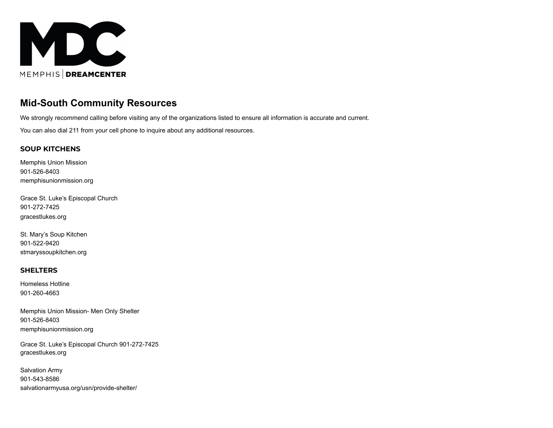

# **Mid-South Community Resources**

We strongly recommend calling before visiting any of the organizations listed to ensure all information is accurate and current.

You can also dial 211 from your cell phone to inquire about any additional resources.

#### **SOUP KITCHENS**

Memphis Union Mission 901-526-8403 memphisunionmission.org

Grace St. Luke's Episcopal Church 901-272-7425 gracestlukes.org

St. Mary's Soup Kitchen 901-522-9420 stmaryssoupkitchen.org

#### **SHELTERS**

Homeless Hotline 901-260-4663

Memphis Union Mission- Men Only Shelter 901-526-8403 memphisunionmission.org

Grace St. Luke's Episcopal Church 901-272-7425 gracestlukes.org

Salvation Army 901-543-8586 salvationarmyusa.org/usn/provide-shelter/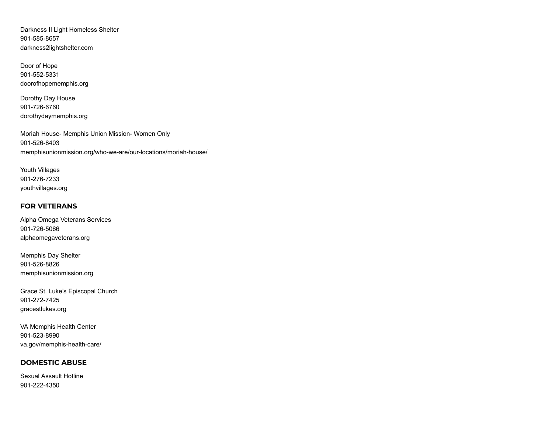Darkness II Light Homeless Shelter 901-585-8657 darkness2lightshelter.com

Door of Hope 901-552-5331 doorofhopememphis.org

Dorothy Day House 901-726-6760 dorothydaymemphis.org

Moriah House- Memphis Union Mission- Women Only 901-526-8403 memphisunionmission.org/who-we-are/our-locations/moriah-house/

Youth Villages 901-276-7233 youthvillages.org

# **FOR VETERANS**

Alpha Omega Veterans Services 901-726-5066 alphaomegaveterans.org

Memphis Day Shelter 901-526-8826 memphisunionmission.org

Grace St. Luke's Episcopal Church 901-272-7425 gracestlukes.org

VA Memphis Health Center 901-523-8990 va.gov/memphis-health-care/

# **DOMESTIC ABUSE**

Sexual Assault Hotline 901-222-4350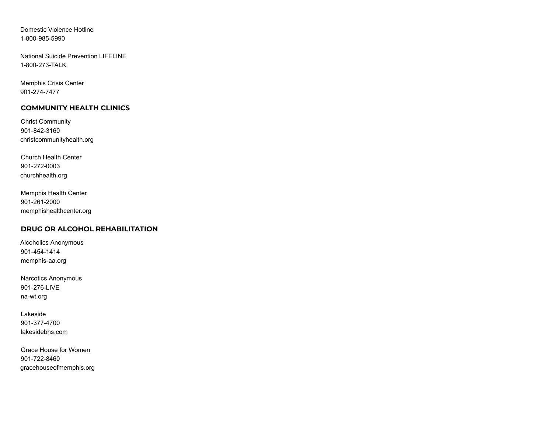Domestic Violence Hotline 1-800-985-5990

National Suicide Prevention LIFELINE 1-800-273-TALK

Memphis Crisis Center 901-274-7477

# **COMMUNITY HEALTH CLINICS**

Christ Community 901-842-3160 christcommunityhealth.org

Church Health Center 901-272-0003 churchhealth.org

Memphis Health Center 901-261-2000 memphishealthcenter.org

#### **DRUG OR ALCOHOL REHABILITATION**

Alcoholics Anonymous 901-454-1414 memphis-aa.org

Narcotics Anonymous 901-276-LIVE na-wt.org

Lakeside 901-377-4700 lakesidebhs.com

Grace House for Women 901-722-8460 gracehouseofmemphis.org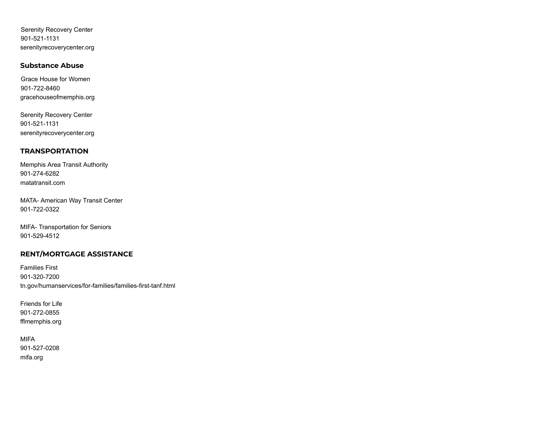Serenity Recovery Center 901-521-1131 serenityrecoverycenter.org

#### **Substance Abuse**

Grace House for Women 901-722-8460 gracehouseofmemphis.org

Serenity Recovery Center 901-521-1131 serenityrecoverycenter.org

# **TRANSPORTATION**

Memphis Area Transit Authority 901-274-6282 matatransit.com

MATA- American Way Transit Center 901-722-0322

MIFA- Transportation for Seniors 901-529-4512

# **RENT/MORTGAGE ASSISTANCE**

Families First 901-320-7200 tn.gov/humanservices/for-families/families-first-tanf.html

Friends for Life 901-272-0855 fflmemphis.org

# MIFA 901-527-0208 mifa.org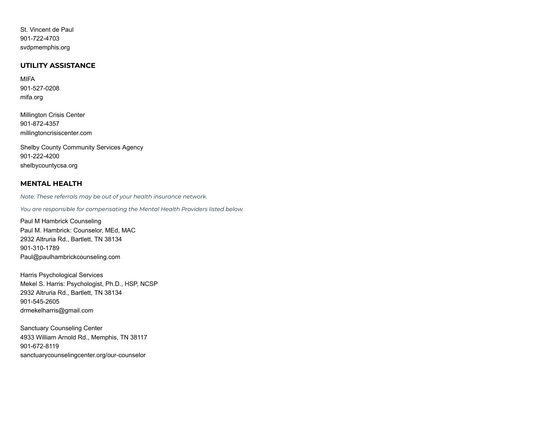St. Vincent de Paul 901-722-4703 svdpmemphis.org

#### **UTILITY ASSISTANCE**

MIFA 901-527-0208 mifa.org

Millington Crisis Center 901-872-4357 millingtoncrisiscenter.com

Shelby County Community Services Agency 901-222-4200 shelbycountycsa.org

#### **MENTAL HEALTH**

*Note: These referrals may be out of your health insurance network.*

*You are responsible for compensating the Mental Health Providers listed below.*

Paul M Hambrick Counseling Paul M. Hambrick: Counselor, MEd, MAC 2932 Altruria Rd., Bartlett, TN 38134 901-310-1789 Paul@paulhambrickcounseling.com

Harris Psychological Services Mekel S. Harris: Psychologist, Ph.D., HSP, NCSP 2932 Altruria Rd., Bartlett, TN 38134 901-545-2605 drmekelharris@gmail.com

Sanctuary Counseling Center 4933 William Arnold Rd., Memphis, TN 38117 901-672-8119 sanctuarycounselingcenter.org/our-counselor